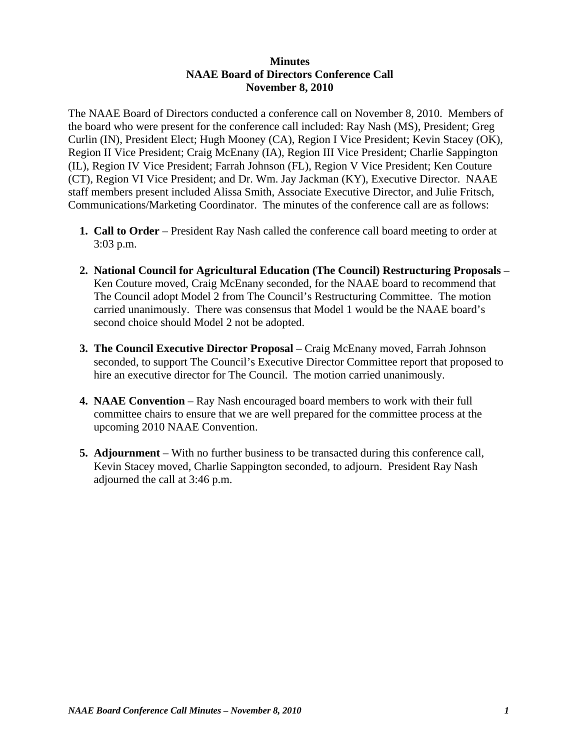### **Minutes NAAE Board of Directors Conference Call November 8, 2010**

The NAAE Board of Directors conducted a conference call on November 8, 2010. Members of the board who were present for the conference call included: Ray Nash (MS), President; Greg Curlin (IN), President Elect; Hugh Mooney (CA), Region I Vice President; Kevin Stacey (OK), Region II Vice President; Craig McEnany (IA), Region III Vice President; Charlie Sappington (IL), Region IV Vice President; Farrah Johnson (FL), Region V Vice President; Ken Couture (CT), Region VI Vice President; and Dr. Wm. Jay Jackman (KY), Executive Director. NAAE staff members present included Alissa Smith, Associate Executive Director, and Julie Fritsch, Communications/Marketing Coordinator. The minutes of the conference call are as follows:

- **1. Call to Order** President Ray Nash called the conference call board meeting to order at 3:03 p.m.
- **2. National Council for Agricultural Education (The Council) Restructuring Proposals** Ken Couture moved, Craig McEnany seconded, for the NAAE board to recommend that The Council adopt Model 2 from The Council's Restructuring Committee. The motion carried unanimously. There was consensus that Model 1 would be the NAAE board's second choice should Model 2 not be adopted.
- **3. The Council Executive Director Proposal** Craig McEnany moved, Farrah Johnson seconded, to support The Council's Executive Director Committee report that proposed to hire an executive director for The Council. The motion carried unanimously.
- **4. NAAE Convention** Ray Nash encouraged board members to work with their full committee chairs to ensure that we are well prepared for the committee process at the upcoming 2010 NAAE Convention.
- **5. Adjournment**  With no further business to be transacted during this conference call, Kevin Stacey moved, Charlie Sappington seconded, to adjourn. President Ray Nash adjourned the call at 3:46 p.m.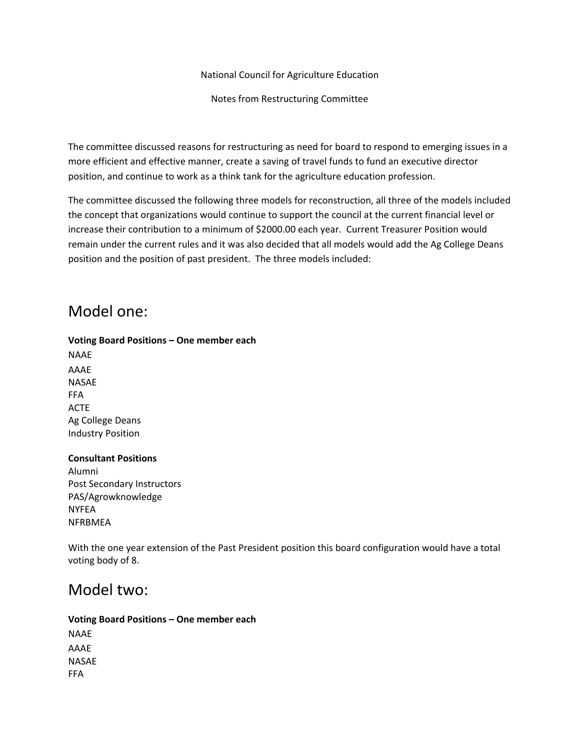National Council for Agriculture Education

Notes from Restructuring Committee

The committee discussed reasons for restructuring as need for board to respond to emerging issues in a more efficient and effective manner, create a saving of travel funds to fund an executive director position, and continue to work as a think tank for the agriculture education profession.

The committee discussed the following three models for reconstruction, all three of the models included the concept that organizations would continue to support the council at the current financial level or increase their contribution to a minimum of \$2000.00 each year. Current Treasurer Position would remain under the current rules and it was also decided that all models would add the Ag College Deans position and the position of past president. The three models included:

## Model one:

#### **Voting Board Positions – One member each**

NAAE AAAE NASAE FFA ACTE Ag College Deans Industry Position

#### **Consultant Positions**

Alumni Post Secondary Instructors PAS/Agrowknowledge NYFEA NFRBMEA

With the one year extension of the Past President position this board configuration would have a total voting body of 8.

## Model two:

**Voting Board Positions – One member each** NAAE AAAE NASAE FFA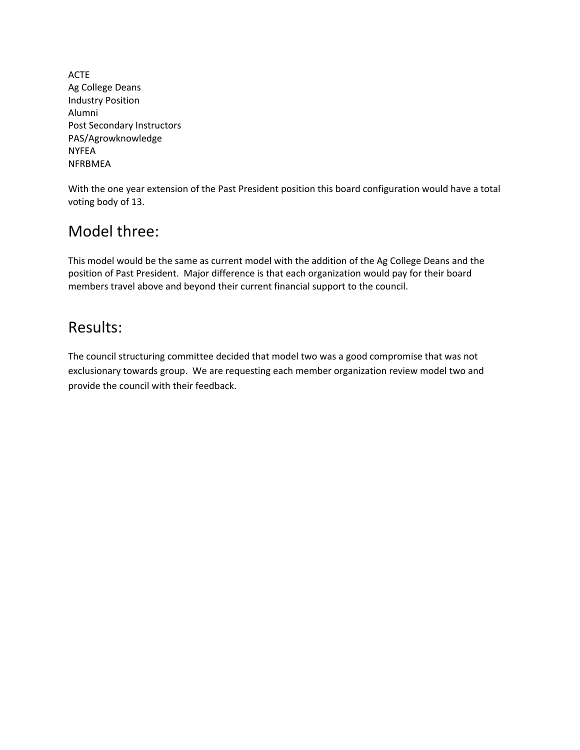ACTE Ag College Deans Industry Position Alumni Post Secondary Instructors PAS/Agrowknowledge NYFEA **NFRRMFA** 

With the one year extension of the Past President position this board configuration would have a total voting body of 13.

# Model three:

This model would be the same as current model with the addition of the Ag College Deans and the position of Past President. Major difference is that each organization would pay for their board members travel above and beyond their current financial support to the council.

## Results:

The council structuring committee decided that model two was a good compromise that was not exclusionary towards group. We are requesting each member organization review model two and provide the council with their feedback.